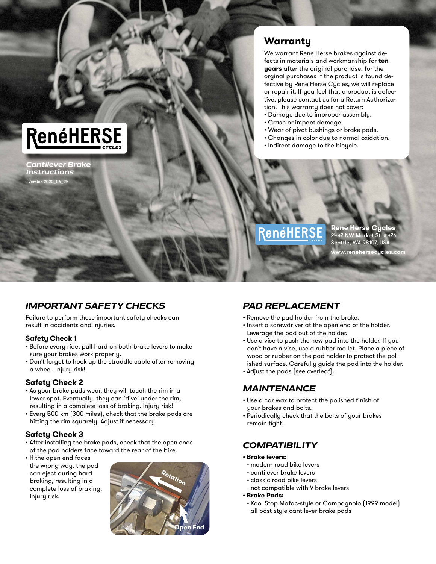## RenéHERSE

*Cantilever Brake Instructions* - Version 2020\_06\_25

#### **Warranty**

We warrant Rene Herse brakes against defects in materials and workmanship for **ten years** after the original purchase, for the orginal purchaser. If the product is found defective by Rene Herse Cycles, we will replace or repair it. If you feel that a product is defective, please contact us for a Return Authorization. This warranty does not cover:

- Damage due to improper assembly.
- Crash or impact damage.
- Wear of pivot bushings or brake pads.
- Changes in color due to normal oxidation.
- Indirect damage to the bicycle.

### enéHER

**Rene Herse Cycles** 2442 NW Market St. #426 Seattle, WA 98107, USA ww.renehersecucles.com

#### *IMPORTANT SAFETY CHECKS*

Failure to perform these important safety checks can result in accidents and injuries.

#### **Safety Check 1**

- Before every ride, pull hard on both brake levers to make sure your brakes work properly.
- Don't forget to hook up the straddle cable after removing a wheel. Injury risk!

#### **Safety Check 2**

- As your brake pads wear, they will touch the rim in a lower spot. Eventually, they can 'dive' under the rim, resulting in a complete loss of braking. Injury risk!
- Every 500 km (300 miles), check that the brake pads are hitting the rim squarely. Adjust if necessary.

#### **Safety Check 3**

- After installing the brake pads, check that the open ends of the pad holders face toward the rear of the bike.
- If the open end faces the wrong way, the pad can eject during hard braking, resulting in a complete loss of braking. Injury risk!



#### *PAD REPLACEMENT*

- Remove the pad holder from the brake.
- Insert a screwdriver at the open end of the holder. Leverage the pad out of the holder.
- Use a vise to push the new pad into the holder. If you don't have a vise, use a rubber mallet. Place a piece of wood or rubber on the pad holder to protect the polished surface. Carefully guide the pad into the holder.
- Adjust the pads (see overleaf).

#### *MAINTENANCE*

- Use a car wax to protect the polished finish of your brakes and bolts.
- Periodically check that the bolts of your brakes remain tight.

#### *COMPATIBILITY*

- **Brake levers:**
- modern road bike levers
- cantilever brake levers
- classic road bike levers
- not compatible with V-brake levers
- **Brake Pads:**
- Kool Stop Mafac-style or Campagnolo (1999 model)
- all post-style cantilever brake pads